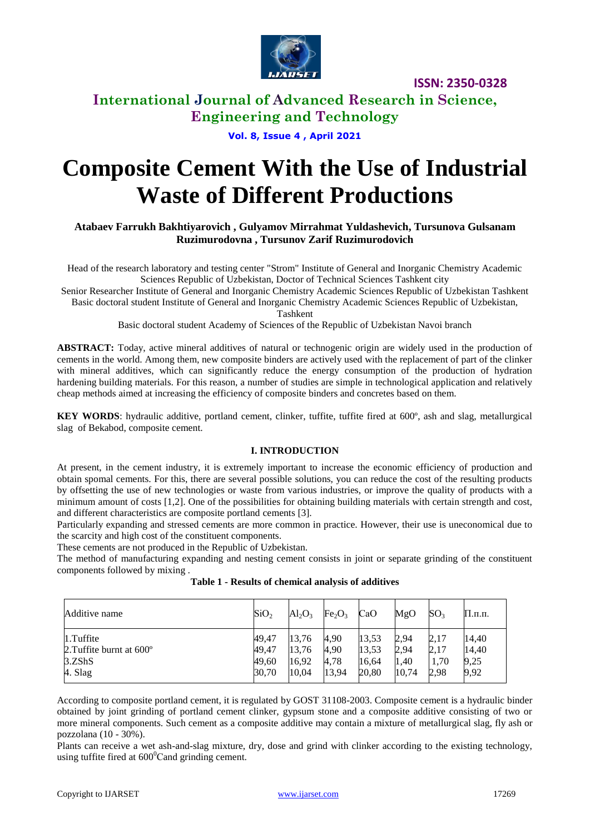

**ISSN: 2350-0328**

## **International Journal of Advanced Research in Science, Engineering and Technology**

## **Vol. 8, Issue 4 , April 2021**

# **Composite Cement With the Use of Industrial Waste of Different Productions**

## **Atabaev Farrukh Bakhtiyarovich , Gulyamov Mirrahmat Yuldashevich, Tursunova Gulsanam Ruzimurodovna , Tursunov Zarif Ruzimurodovich**

Head of the research laboratory and testing center "Strom" Institute of General and Inorganic Chemistry Academic Sciences Republic of Uzbekistan, Doctor of Technical Sciences Tashkent city

Senior Researcher Institute of General and Inorganic Chemistry Academic Sciences Republic of Uzbekistan Tashkent Basic doctoral student Institute of General and Inorganic Chemistry Academic Sciences Republic of Uzbekistan,

Tashkent

Basic doctoral student Academy of Sciences of the Republic of Uzbekistan Navoi branch

**ABSTRACT:** Today, active mineral additives of natural or technogenic origin are widely used in the production of cements in the world. Among them, new composite binders are actively used with the replacement of part of the clinker with mineral additives, which can significantly reduce the energy consumption of the production of hydration hardening building materials. For this reason, a number of studies are simple in technological application and relatively cheap methods aimed at increasing the efficiency of composite binders and concretes based on them.

**KEY WORDS**: hydraulic additive, portland cement, clinker, tuffite, tuffite fired at 600°, ash and slag, metallurgical slag of Bekabod, composite cement.

## **I. INTRODUCTION**

At present, in the cement industry, it is extremely important to increase the economic efficiency of production and obtain spomal cements. For this, there are several possible solutions, you can reduce the cost of the resulting products by offsetting the use of new technologies or waste from various industries, or improve the quality of products with a minimum amount of costs [1,2]. One of the possibilities for obtaining building materials with certain strength and cost, and different characteristics are composite portland cements [3].

Particularly expanding and stressed cements are more common in practice. However, their use is uneconomical due to the scarcity and high cost of the constituent components.

These cements are not produced in the Republic of Uzbekistan.

The method of manufacturing expanding and nesting cement consists in joint or separate grinding of the constituent components followed by mixing .

| Additive name                     | SiO <sub>2</sub> | $Al_2O_3$ | Fe <sub>2</sub> O <sub>3</sub> | CaO   | MgO   | SO <sub>3</sub> | П.п.п. |
|-----------------------------------|------------------|-----------|--------------------------------|-------|-------|-----------------|--------|
| $1.$ Tuffite                      | 49,47            | 13.76     | 4,90                           | 13,53 | 2,94  | 2,17            | 14,40  |
| 2. Tuffite burnt at $600^{\circ}$ | 49,47            | 13,76     | 4,90                           | 13,53 | 2,94  | 2,17            | 14,40  |
| 3.ZShS                            | 49,60            | 16,92     | 4,78                           | 16,64 | 1,40  | 1,70            | 9,25   |
| 4. Slag                           | 30,70            | 10,04     | 13,94                          | 20,80 | 10,74 | 2,98            | 9,92   |

According to composite portland cement, it is regulated by GOST 31108-2003. Composite cement is a hydraulic binder obtained by joint grinding of portland cement clinker, gypsum stone and a composite additive consisting of two or more mineral components. Such cement as a composite additive may contain a mixture of metallurgical slag, fly ash or pozzolana (10 - 30%).

Plants can receive a wet ash-and-slag mixture, dry, dose and grind with clinker according to the existing technology, using tuffite fired at  $600^{\circ}$ Cand grinding cement.